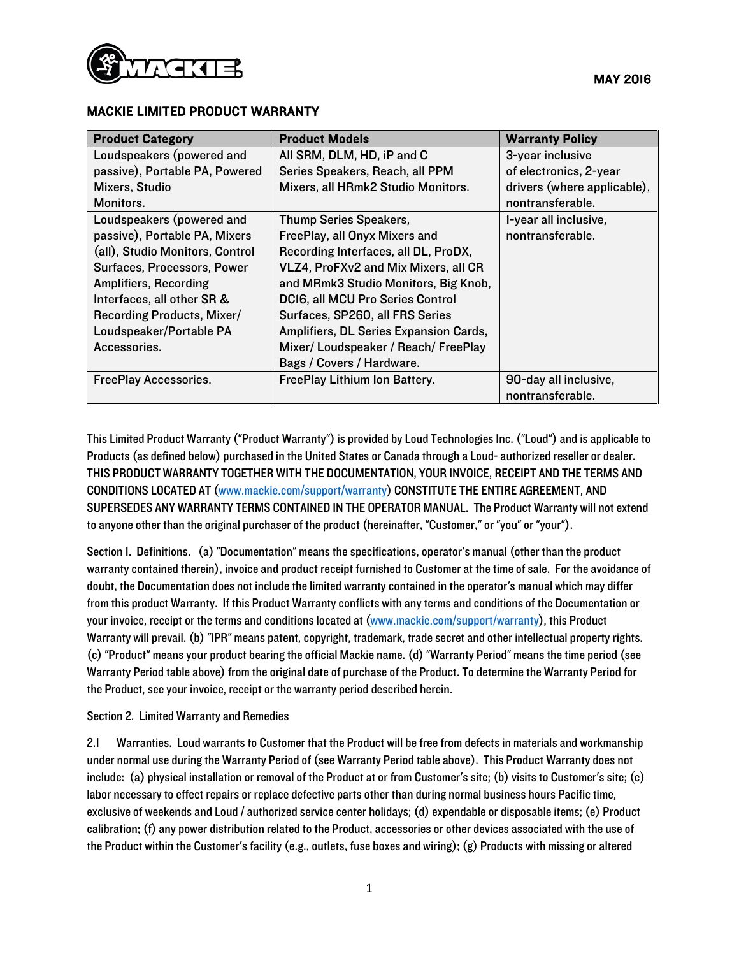

## MACKIE LIMITED PRODUCT WARRANTY

| <b>Product Category</b>         | <b>Product Models</b>                  | <b>Warranty Policy</b>      |
|---------------------------------|----------------------------------------|-----------------------------|
| Loudspeakers (powered and       | All SRM, DLM, HD, iP and C             | 3-year inclusive            |
| passive), Portable PA, Powered  | Series Speakers, Reach, all PPM        | of electronics, 2-year      |
| Mixers, Studio                  | Mixers, all HRmk2 Studio Monitors.     | drivers (where applicable), |
| Monitors.                       |                                        | nontransferable.            |
| Loudspeakers (powered and       | Thump Series Speakers,                 | I-year all inclusive,       |
| passive), Portable PA, Mixers   | FreePlay, all Onyx Mixers and          | nontransferable.            |
| (all), Studio Monitors, Control | Recording Interfaces, all DL, ProDX,   |                             |
| Surfaces, Processors, Power     | VLZ4, ProFXv2 and Mix Mixers, all CR   |                             |
| <b>Amplifiers, Recording</b>    | and MRmk3 Studio Monitors, Big Knob,   |                             |
| Interfaces, all other SR &      | DCI6, all MCU Pro Series Control       |                             |
| Recording Products, Mixer/      | Surfaces, SP260, all FRS Series        |                             |
| Loudspeaker/Portable PA         | Amplifiers, DL Series Expansion Cards, |                             |
| Accessories.                    | Mixer/Loudspeaker / Reach/FreePlay     |                             |
|                                 | Bags / Covers / Hardware.              |                             |
| <b>FreePlay Accessories.</b>    | FreePlay Lithium Ion Battery.          | 90-day all inclusive,       |
|                                 |                                        | nontransferable.            |

This Limited Product Warranty ("Product Warranty") is provided by Loud Technologies Inc. ("Loud") and is applicable to Products (as defined below) purchased in the United States or Canada through a Loud- authorized reseller or dealer. THIS PRODUCT WARRANTY TOGETHER WITH THE DOCUMENTATION, YOUR INVOICE, RECEIPT AND THE TERMS AND CONDITIONS LOCATED AT [\(www.mackie.com/support/warranty\)](www.mackie.com/support/warranty) CONSTITUTE THE ENTIRE AGREEMENT, AND SUPERSEDES ANY WARRANTY TERMS CONTAINED IN THE OPERATOR MANUAL. The Product Warranty will not extend to anyone other than the original purchaser of the product (hereinafter, "Customer," or "you" or "your").

Section 1. Definitions. (a) "Documentation" means the specifications, operator's manual (other than the product warranty contained therein), invoice and product receipt furnished to Customer at the time of sale. For the avoidance of doubt, the Documentation does not include the limited warranty contained in the operator's manual which may differ from this product Warranty. If this Product Warranty conflicts with any terms and conditions of the Documentation or your invoice, receipt or the terms and conditions located at (www.mackie.com/support/warranty), this Product Warranty will prevail. (b) "IPR" means patent, copyright, trademark, trade secret and other intellectual property rights. (c) "Product" means your product bearing the official Mackie name. (d) "Warranty Period" means the time period (see Warranty Period table above) from the original date of purchase of the Product. To determine the Warranty Period for the Product, see your invoice, receipt or the warranty period described herein.

Section 2. Limited Warranty and Remedies

2.1 Warranties. Loud warrants to Customer that the Product will be free from defects in materials and workmanship under normal use during the Warranty Period of (see Warranty Period table above). This Product Warranty does not include: (a) physical installation or removal of the Product at or from Customer's site; (b) visits to Customer's site; (c) labor necessary to effect repairs or replace defective parts other than during normal business hours Pacific time, exclusive of weekends and Loud / authorized service center holidays; (d) expendable or disposable items; (e) Product calibration; (f) any power distribution related to the Product, accessories or other devices associated with the use of the Product within the Customer's facility (e.g., outlets, fuse boxes and wiring); (g) Products with missing or altered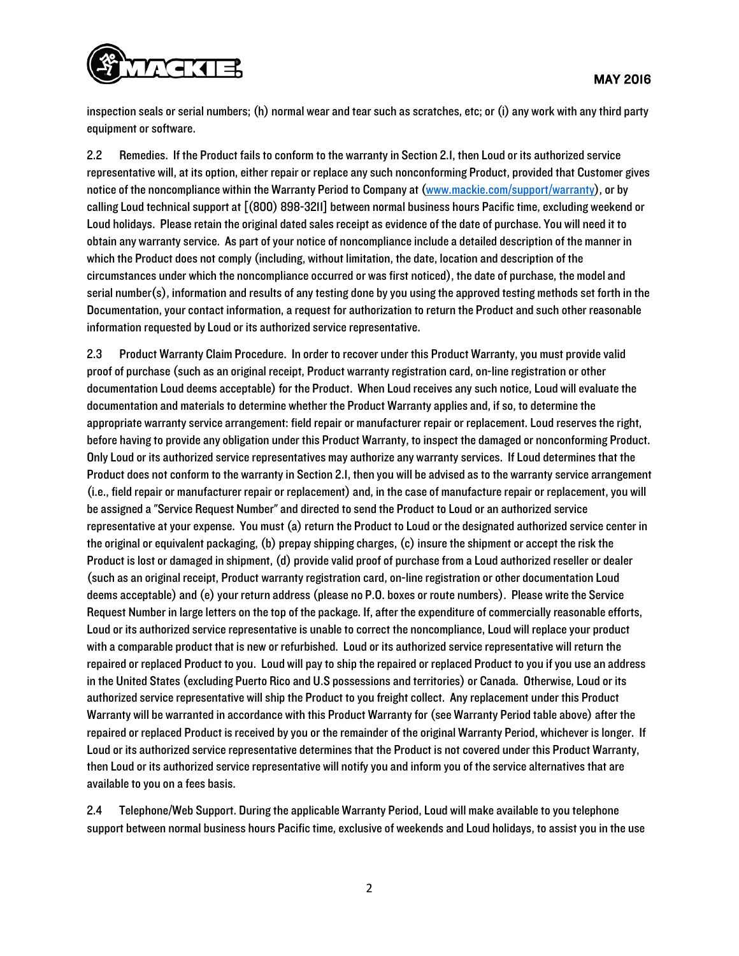

inspection seals or serial numbers; (h) normal wear and tear such as scratches, etc; or (i) any work with any third party equipment or software.

2.2 Remedies. If the Product fails to conform to the warranty in Section 2.1, then Loud or its authorized service representative will, at its option, either repair or replace any such nonconforming Product, provided that Customer gives notice of the noncompliance within the Warranty Period to Company at (www.mackie.com/support/warranty), or by calling Loud technical support at [(800) 898-3211] between normal business hours Pacific time, excluding weekend or Loud holidays. Please retain the original dated sales receipt as evidence of the date of purchase. You will need it to obtain any warranty service. As part of your notice of noncompliance include a detailed description of the manner in which the Product does not comply (including, without limitation, the date, location and description of the circumstances under which the noncompliance occurred or was first noticed), the date of purchase, the model and serial number(s), information and results of any testing done by you using the approved testing methods set forth in the Documentation, your contact information, a request for authorization to return the Product and such other reasonable information requested by Loud or its authorized service representative.

2.3 Product Warranty Claim Procedure. In order to recover under this Product Warranty, you must provide valid proof of purchase (such as an original receipt, Product warranty registration card, on-line registration or other documentation Loud deems acceptable) for the Product. When Loud receives any such notice, Loud will evaluate the documentation and materials to determine whether the Product Warranty applies and, if so, to determine the appropriate warranty service arrangement: field repair or manufacturer repair or replacement. Loud reservesthe right, before having to provide any obligation under this Product Warranty, to inspect the damaged or nonconforming Product. Only Loud or its authorized service representatives may authorize any warranty services. If Loud determines that the Product does not conform to the warranty in Section 2.1, then you will be advised as to the warranty service arrangement (i.e., field repair or manufacturer repair or replacement) and, in the case of manufacture repair or replacement, you will be assigned a "Service Request Number" and directed to send the Product to Loud or an authorized service representative at your expense. You must (a) return the Product to Loud or the designated authorized service center in the original or equivalent packaging, (b) prepay shipping charges, (c) insure the shipment or accept the risk the Product is lost or damaged in shipment, (d) provide valid proof of purchase from a Loud authorized reseller or dealer (such as an original receipt, Product warranty registration card, on-line registration or other documentation Loud deems acceptable) and (e) your return address (please no P.O. boxes or route numbers). Please write the Service Request Number in large letters on the top of the package. If, after the expenditure of commercially reasonable efforts, Loud or its authorized service representative is unable to correct the noncompliance, Loud will replace your product with a comparable product that is new or refurbished. Loud or its authorized service representative will return the repaired or replaced Product to you. Loud will pay to ship the repaired or replaced Product to you if you use an address in the United States (excluding Puerto Rico and U.S possessions and territories) or Canada. Otherwise, Loud or its authorized service representative will ship the Product to you freight collect. Any replacement under this Product Warranty will be warranted in accordance with this Product Warranty for (see Warranty Period table above) after the repaired or replaced Product is received by you or the remainder of the original Warranty Period, whichever is longer. If Loud or its authorized service representative determines that the Product is not covered under this Product Warranty, then Loud or its authorized service representative will notify you and inform you of the service alternatives that are available to you on a fees basis.

2.4 Telephone/Web Support. During the applicable Warranty Period, Loud will make available to you telephone support between normal business hours Pacific time, exclusive of weekends and Loud holidays, to assist you in the use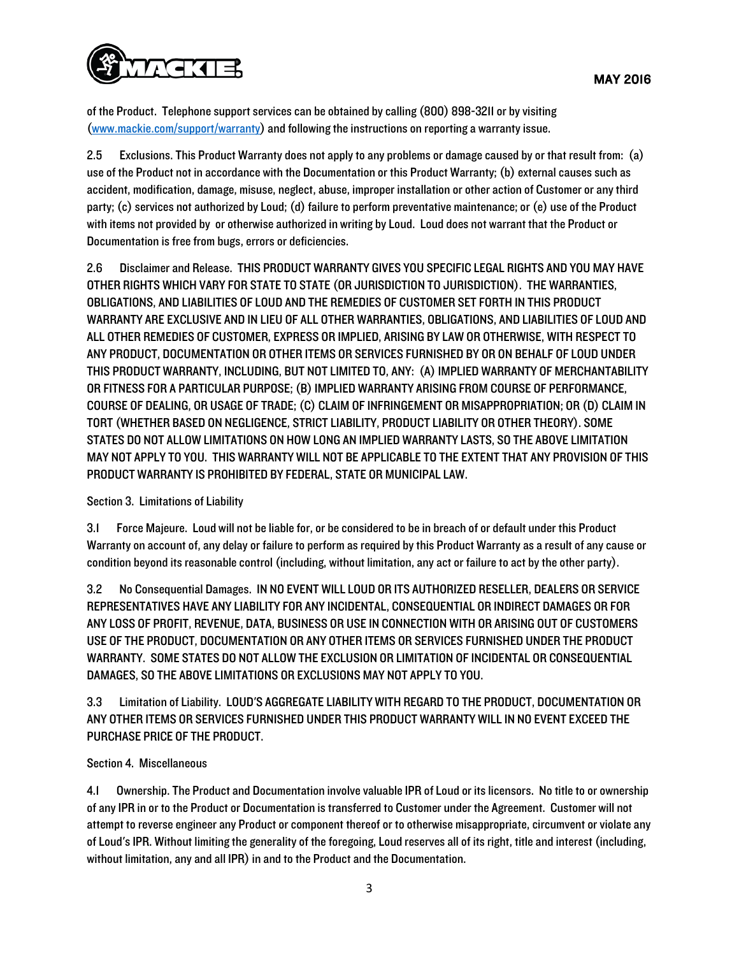

of the Product. Telephone support services can be obtained by calling (800) 898-3211 or by visiting (www.mackie.com/support/warranty) and following the instructions on reporting a warranty issue.

2.5 Exclusions. This Product Warranty does not apply to any problems or damage caused by or that result from: (a) use of the Product not in accordance with the Documentation or this Product Warranty; (b) external causes such as accident, modification, damage, misuse, neglect, abuse, improper installation or other action of Customer or any third party; (c) services not authorized by Loud; (d) failure to perform preventative maintenance; or (e) use of the Product with items not provided by or otherwise authorized in writing by Loud. Loud does not warrant that the Product or Documentation is free from bugs, errors or deficiencies.

2.6 Disclaimer and Release. THIS PRODUCT WARRANTY GIVES YOU SPECIFIC LEGAL RIGHTS AND YOU MAY HAVE OTHER RIGHTS WHICH VARY FOR STATE TO STATE (OR JURISDICTION TO JURISDICTION). THE WARRANTIES, OBLIGATIONS, AND LIABILITIES OF LOUD AND THE REMEDIES OF CUSTOMER SET FORTH IN THIS PRODUCT WARRANTY ARE EXCLUSIVE AND IN LIEU OF ALL OTHER WARRANTIES, OBLIGATIONS, AND LIABILITIES OF LOUD AND ALL OTHER REMEDIES OF CUSTOMER, EXPRESS OR IMPLIED, ARISING BY LAW OR OTHERWISE, WITH RESPECT TO ANY PRODUCT, DOCUMENTATION OR OTHER ITEMS OR SERVICES FURNISHED BY OR ON BEHALF OF LOUD UNDER THIS PRODUCT WARRANTY, INCLUDING, BUT NOT LIMITED TO, ANY: (A) IMPLIED WARRANTY OF MERCHANTABILITY OR FITNESS FOR A PARTICULAR PURPOSE; (B) IMPLIED WARRANTY ARISING FROM COURSE OF PERFORMANCE, COURSE OF DEALING, OR USAGE OF TRADE; (C) CLAIM OF INFRINGEMENT OR MISAPPROPRIATION; OR (D) CLAIM IN TORT (WHETHER BASED ON NEGLIGENCE, STRICT LIABILITY, PRODUCT LIABILITY OR OTHER THEORY). SOME STATES DO NOT ALLOW LIMITATIONS ON HOW LONG AN IMPLIED WARRANTY LASTS, SO THE ABOVE LIMITATION MAY NOT APPLY TO YOU. THIS WARRANTY WILL NOT BE APPLICABLE TO THE EXTENT THAT ANY PROVISION OF THIS PRODUCT WARRANTY IS PROHIBITED BY FEDERAL, STATE OR MUNICIPAL LAW.

## Section 3. Limitations of Liability

3.1 Force Majeure. Loud will not be liable for, or be considered to be in breach of or default under this Product Warranty on account of, any delay or failure to perform as required by this Product Warranty as a result of any cause or condition beyond its reasonable control (including, without limitation, any act or failure to act by the other party).

3.2 No Consequential Damages. IN NO EVENT WILL LOUD OR ITS AUTHORIZED RESELLER, DEALERS OR SERVICE REPRESENTATIVES HAVE ANY LIABILITY FOR ANY INCIDENTAL, CONSEQUENTIAL OR INDIRECT DAMAGES OR FOR ANY LOSS OF PROFIT, REVENUE, DATA, BUSINESS OR USE IN CONNECTION WITH OR ARISING OUT OF CUSTOMERS USE OF THE PRODUCT, DOCUMENTATION OR ANY OTHER ITEMS OR SERVICES FURNISHED UNDER THE PRODUCT WARRANTY. SOME STATES DO NOT ALLOW THE EXCLUSION OR LIMITATION OF INCIDENTAL OR CONSEQUENTIAL DAMAGES, SO THE ABOVE LIMITATIONS OR EXCLUSIONS MAY NOT APPLY TO YOU.

3.3 Limitation of Liability. LOUD'S AGGREGATE LIABILITY WITH REGARD TO THE PRODUCT, DOCUMENTATION OR ANY OTHER ITEMS OR SERVICES FURNISHED UNDER THIS PRODUCT WARRANTY WILL IN NO EVENT EXCEED THE PURCHASE PRICE OF THE PRODUCT.

## Section 4. Miscellaneous

4.1 Ownership. The Product and Documentation involve valuable IPR of Loud or its licensors. No title to or ownership of any IPR in or to the Product or Documentation is transferred to Customer under the Agreement. Customer will not attempt to reverse engineer any Product or component thereof or to otherwise misappropriate, circumvent or violate any of Loud's IPR. Without limiting the generality of the foregoing, Loud reserves all of its right, title and interest (including, without limitation, any and all IPR) in and to the Product and the Documentation.